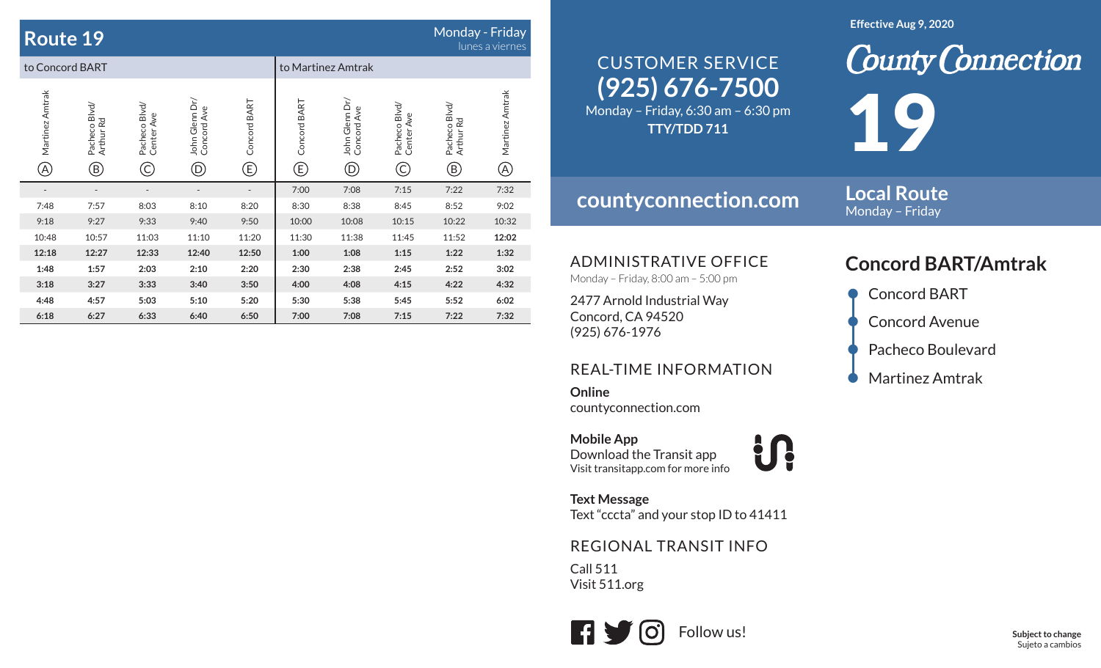| Monday - Friday<br><b>Route 19</b><br>lunes a viernes |                                            |                                           |                                                       |                   |                   |                                                |                                  |                                            |                                |
|-------------------------------------------------------|--------------------------------------------|-------------------------------------------|-------------------------------------------------------|-------------------|-------------------|------------------------------------------------|----------------------------------|--------------------------------------------|--------------------------------|
| to Concord BART                                       |                                            |                                           |                                                       |                   |                   | to Martinez Amtrak                             |                                  |                                            |                                |
| Martinez Amtrak<br>(A)                                | Pacheco Blvd/<br>Arthur Rd<br>$^\circledR$ | Pacheco Blvd/<br>Center Ave<br>$\bigodot$ | John Glenn Dr/<br>Concord Ave<br>$^{\textregistered}$ | Concord BART<br>© | Concord BART<br>⊕ | John Glenn Dr/<br>Concord Ave<br>$^\copyright$ | Pacheco Blvd/<br>Center Ave<br>C | Pacheco Blvd/<br>Arthur Rd<br>$^\circledR$ | Martinez Amtrak<br>$\circledA$ |
|                                                       |                                            |                                           |                                                       |                   | 7:00              | 7:08                                           | 7:15                             | 7:22                                       | 7:32                           |
| 7:48                                                  | 7:57                                       | 8:03                                      | 8:10                                                  | 8:20              | 8:30              | 8:38                                           | 8:45                             | 8:52                                       | 9:02                           |
| 9:18                                                  | 9:27                                       | 9:33                                      | 9:40                                                  | 9:50              | 10:00             | 10:08                                          | 10:15                            | 10:22                                      | 10:32                          |
| 10:48                                                 | 10:57                                      | 11:03                                     | 11:10                                                 | 11:20             | 11:30             | 11:38                                          | 11:45                            | 11:52                                      | 12:02                          |
| 12:18                                                 | 12:27                                      | 12:33                                     | 12:40                                                 | 12:50             | 1:00              | 1:08                                           | 1:15                             | 1:22                                       | 1:32                           |
| 1:48                                                  | 1:57                                       | 2:03                                      | 2:10                                                  | 2:20              | 2:30              | 2:38                                           | 2:45                             | 2:52                                       | 3:02                           |
| 3:18                                                  | 3:27                                       | 3:33                                      | 3:40                                                  | 3:50              | 4:00              | 4:08                                           | 4:15                             | 4:22                                       | 4:32                           |
| 4:48                                                  | 4:57                                       | 5:03                                      | 5:10                                                  | 5:20              | 5:30              | 5:38                                           | 5:45                             | 5:52                                       | 6:02                           |
| 6:18                                                  | 6:27                                       | 6:33                                      | 6:40                                                  | 6:50              | 7:00              | 7:08                                           | 7:15                             | 7:22                                       | 7:32                           |

#### **Effective Aug 9, 2020**

# **(925) 676-7500** CUSTOMER SERVICE

Monday – Friday, 6:30 am – 6:30 pm **TTY/TDD 711**

## **countyconnection.com**

**Local Route** Monday – Friday

19

ADMINISTRATIVE OFFICE

Monday – Friday, 8:00 am – 5:00 pm

2477 Arnold Industrial Way Concord, CA 94520 (925) 676-1976

### REAL-TIME INFORMATION

**Online**countyconnection.com

**Mobile App** Download the Transit app Visit transitapp.com for more info

**Text Message** Text "cccta" and your stop ID to 41411

<u>and</u>

### REGIONAL TRANSIT INFO

Call 511Visit 511.org



## **Concord BART/Amtrak**

**County Connection** 

- Concord BART **Concord Avenue** Pacheco Boulevard
- Martinez Amtrak